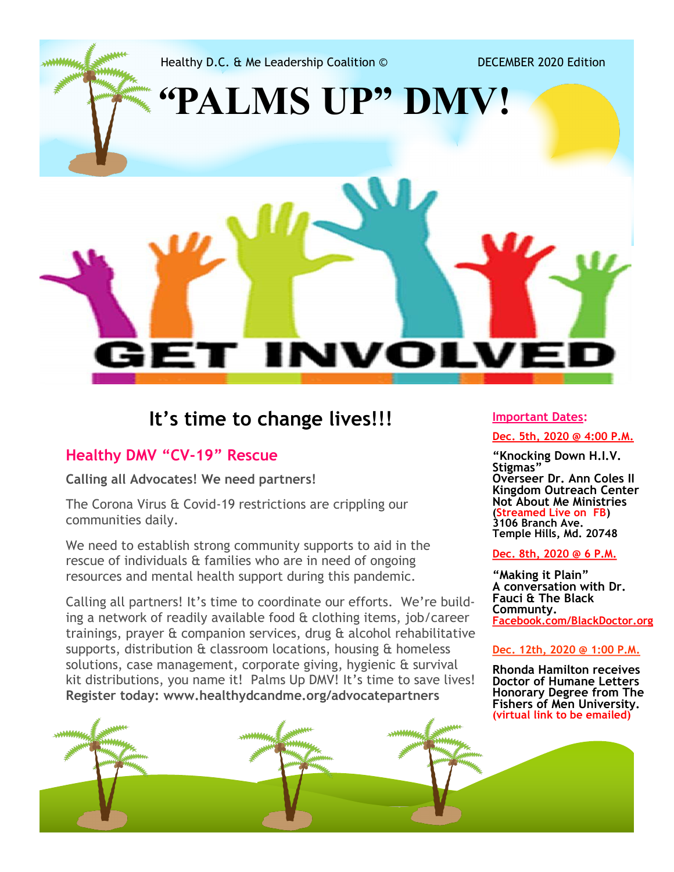Healthy D.C. & Me Leadership Coalition © DECEMBER 2020 Edition

*"***PALMS UP" DMV!**

## **It's time to change lives!!!**

NI

**It's time to change lives!!!**

### **Healthy DMV "CV-19" Rescue**

**Calling all Advocates! We need partners!** 

The Corona Virus & Covid-19 restrictions are crippling our communities daily.

We need to establish strong community supports to aid in the rescue of individuals & families who are in need of ongoing resources and mental health support during this pandemic.

Calling all partners! It's time to coordinate our efforts. We're building a network of readily available food & clothing items, job/career trainings, prayer & companion services, drug & alcohol rehabilitative supports, distribution & classroom locations, housing & homeless solutions, case management, corporate giving, hygienic & survival kit distributions, you name it! Palms Up DMV! It's time to save lives! **Register today: www.healthydcandme.org/advocatepartners**

#### **Important Dates:**

DLV

**Dec. 5th, 2020 @ 4:00 P.M.**

**"Knocking Down H.I.V. Stigmas" Overseer Dr. Ann Coles II Kingdom Outreach Center Not About Me Ministries (Streamed Live on FB) 3106 Branch Ave. Temple Hills, Md. 20748**

#### **Dec. 8th, 2020 @ 6 P.M.**

**"Making it Plain" A conversation with Dr. Fauci & The Black Communty. Facebook.com/BlackDoctor.org**

#### **Dec. 12th, 2020 @ 1:00 P.M.**

**Rhonda Hamilton receives Doctor of Humane Letters Honorary Degree from The Fishers of Men University. (virtual link to be emailed)**